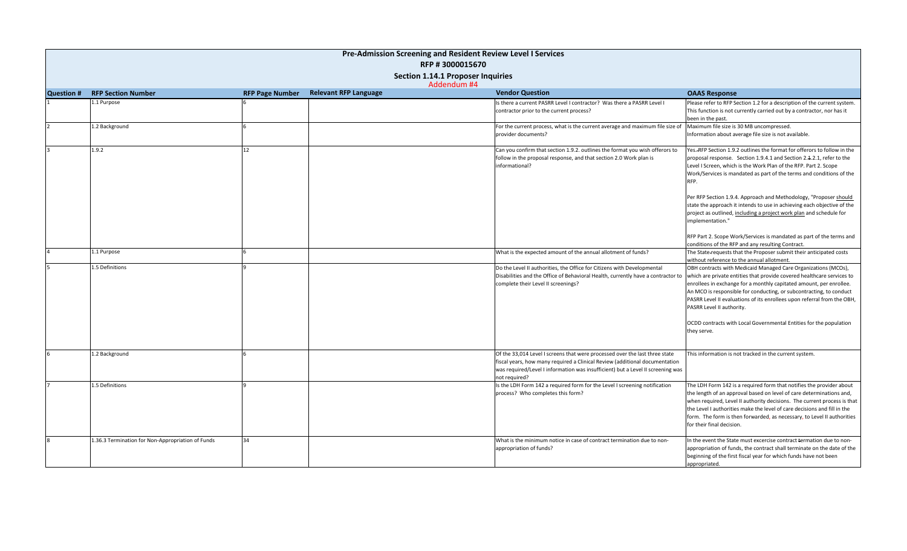| Pre-Admission Screening and Resident Review Level I Services |                                                   |                        |                              |  |                                                                                                                                                                                                                                                                |                                                                                                                                                                                                                                                                                                                                                                                                              |
|--------------------------------------------------------------|---------------------------------------------------|------------------------|------------------------------|--|----------------------------------------------------------------------------------------------------------------------------------------------------------------------------------------------------------------------------------------------------------------|--------------------------------------------------------------------------------------------------------------------------------------------------------------------------------------------------------------------------------------------------------------------------------------------------------------------------------------------------------------------------------------------------------------|
| RFP #3000015670                                              |                                                   |                        |                              |  |                                                                                                                                                                                                                                                                |                                                                                                                                                                                                                                                                                                                                                                                                              |
| Section 1.14.1 Proposer Inquiries<br>Addendum #4             |                                                   |                        |                              |  |                                                                                                                                                                                                                                                                |                                                                                                                                                                                                                                                                                                                                                                                                              |
| <b>Question #</b>                                            | <b>RFP Section Number</b>                         | <b>RFP Page Number</b> | <b>Relevant RFP Language</b> |  | <b>Vendor Question</b>                                                                                                                                                                                                                                         | <b>OAAS Response</b>                                                                                                                                                                                                                                                                                                                                                                                         |
|                                                              | 1.1 Purpose                                       |                        |                              |  | Is there a current PASRR Level I contractor? Was there a PASRR Level I<br>contractor prior to the current process?                                                                                                                                             | Please refer to RFP Section 1.2 for a description of the current system.<br>This function is not currently carried out by a contractor, nor has it<br>been in the past.                                                                                                                                                                                                                                      |
|                                                              | 1.2 Background                                    |                        |                              |  | For the current process, what is the current average and maximum file size of<br>provider documents?                                                                                                                                                           | Maximum file size is 30 MB uncompressed.<br>Information about average file size is not available.                                                                                                                                                                                                                                                                                                            |
|                                                              | 1.9.2                                             | 12                     |                              |  | Can you confirm that section 1.9.2. outlines the format you wish offerors to<br>follow in the proposal response, and that section 2.0 Work plan is<br>informational?                                                                                           | Yes. RFP Section 1.9.2 outlines the format for offerors to follow in the<br>proposal response. Section 1.9.4.1 and Section 2.1.2.1, refer to the<br>Level I Screen, which is the Work Plan of the RFP. Part 2. Scope<br>Work/Services is mandated as part of the terms and conditions of the<br>RFP.                                                                                                         |
|                                                              |                                                   |                        |                              |  |                                                                                                                                                                                                                                                                | Per RFP Section 1.9.4. Approach and Methodology, "Proposer should<br>state the approach it intends to use in achieving each objective of the<br>project as outlined, including a project work plan and schedule for<br>implementation."                                                                                                                                                                      |
|                                                              |                                                   |                        |                              |  |                                                                                                                                                                                                                                                                | RFP Part 2. Scope Work/Services is mandated as part of the terms and<br>conditions of the RFP and any resulting Contract.                                                                                                                                                                                                                                                                                    |
|                                                              | 1.1 Purpose                                       |                        |                              |  | What is the expected amount of the annual allotment of funds?                                                                                                                                                                                                  | The State requests that the Proposer submit their anticipated costs<br>without reference to the annual allotment.                                                                                                                                                                                                                                                                                            |
|                                                              | 1.5 Definitions                                   |                        |                              |  | Do the Level II authorities, the Office for Citizens with Developmental<br>Disabilities and the Office of Behavioral Health, currently have a contractor to<br>complete their Level II screenings?                                                             | OBH contracts with Medicaid Managed Care Organizations (MCOs),<br>which are private entities that provide covered healthcare services to<br>enrollees in exchange for a monthly capitated amount, per enrollee.<br>An MCO is responsible for conducting, or subcontracting, to conduct<br>PASRR Level II evaluations of its enrollees upon referral from the OBH,<br>PASRR Level II authority.               |
|                                                              |                                                   |                        |                              |  |                                                                                                                                                                                                                                                                | OCDD contracts with Local Governmental Entities for the population<br>they serve.                                                                                                                                                                                                                                                                                                                            |
|                                                              | 1.2 Background                                    |                        |                              |  | Of the 33,014 Level I screens that were processed over the last three state<br>fiscal years, how many required a Clinical Review (additional documentation<br>was required/Level I information was insufficient) but a Level II screening was<br>not required? | This information is not tracked in the current system.                                                                                                                                                                                                                                                                                                                                                       |
|                                                              | 1.5 Definitions                                   |                        |                              |  | Is the LDH Form 142 a required form for the Level I screening notification<br>process? Who completes this form?                                                                                                                                                | The LDH Form 142 is a required form that notifies the provider about<br>the length of an approval based on level of care determinations and,<br>when required, Level II authority decisions. The current process is that<br>the Level I authorities make the level of care decisions and fill in the<br>form. The form is then forwarded, as necessary, to Level II authorities<br>for their final decision. |
|                                                              | 1.36.3 Termination for Non-Appropriation of Funds | 34                     |                              |  | What is the minimum notice in case of contract termination due to non-<br>appropriation of funds?                                                                                                                                                              | In the event the State must excercise contract termation due to non-<br>appropriation of funds, the contract shall terminate on the date of the<br>beginning of the first fiscal year for which funds have not been<br>appropriated.                                                                                                                                                                         |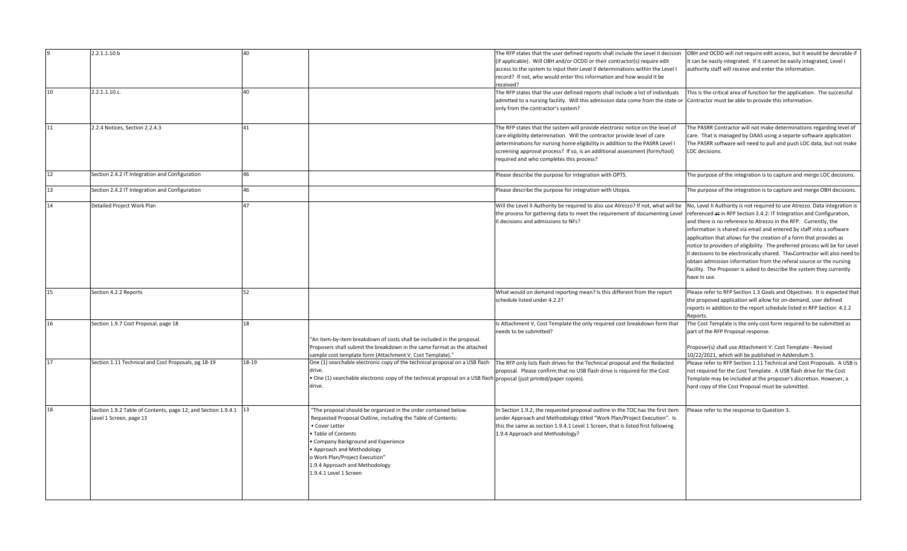|    | 2.2.1.1.10.b                                                                                | 40                                                                                                                                                                                                                                                                                                                                  | The RFP states that the user defined reports shall include the Level II decision<br>(if applicable). Will OBH and/or OCDD or their contractor(s) require edit<br>access to the system to input their Level II determinations within the Level I<br>record? If not, who would enter this information and how would it be<br>received?                                 | OBH and OCDD will not require edit access, but it would be desirable if<br>it can be easily integrated. If it cannot be easily integrated, Level I<br>authority staff will receive and enter the information.                                                                                                                                                                                                                                                                                                                                                                                                                                                                                      |
|----|---------------------------------------------------------------------------------------------|-------------------------------------------------------------------------------------------------------------------------------------------------------------------------------------------------------------------------------------------------------------------------------------------------------------------------------------|----------------------------------------------------------------------------------------------------------------------------------------------------------------------------------------------------------------------------------------------------------------------------------------------------------------------------------------------------------------------|----------------------------------------------------------------------------------------------------------------------------------------------------------------------------------------------------------------------------------------------------------------------------------------------------------------------------------------------------------------------------------------------------------------------------------------------------------------------------------------------------------------------------------------------------------------------------------------------------------------------------------------------------------------------------------------------------|
| 10 | 2.2.1.1.10.c.                                                                               | 40                                                                                                                                                                                                                                                                                                                                  | The RFP states that the user defined reports shall include a list of individuals<br>admitted to a nursing facility. Will this admission data come from the state or Contractor must be able to provide this information.<br>only from the contractor's system?                                                                                                       | This is the critical area of function for the application. The successful                                                                                                                                                                                                                                                                                                                                                                                                                                                                                                                                                                                                                          |
| 11 | 2.2.4 Notices, Section 2.2.4.3                                                              | 41                                                                                                                                                                                                                                                                                                                                  | The RFP states that the system will provide electronic notice on the level of<br>care eligibility determination. Will the contractor provide level of care<br>determinations for nursing home eligibility in addition to the PASRR Level I<br>screening approval process? If so, is an additional assessment (form/tool)<br>required and who completes this process? | The PASRR Contractor will not make determinations regarding level of<br>care. That is managed by OAAS using a separte software application.<br>The PASRR software will need to pull and push LOC data, but not make<br>LOC decisions.                                                                                                                                                                                                                                                                                                                                                                                                                                                              |
| 12 | Section 2.4.2 IT Integration and Configuration                                              | 46                                                                                                                                                                                                                                                                                                                                  | Please describe the purpose for integration with OPTS.                                                                                                                                                                                                                                                                                                               | The purpose of the integration is to capture and merge LOC decisions.                                                                                                                                                                                                                                                                                                                                                                                                                                                                                                                                                                                                                              |
| 13 | Section 2.4.2 IT Integration and Configuration                                              | 46                                                                                                                                                                                                                                                                                                                                  | Please describe the purpose for integration with Utopia.                                                                                                                                                                                                                                                                                                             | The purpose of the integration is to capture and merge OBH decisions.                                                                                                                                                                                                                                                                                                                                                                                                                                                                                                                                                                                                                              |
| 14 | Detailed Project Work Plan                                                                  | 47                                                                                                                                                                                                                                                                                                                                  | Will the Level II Authority be required to also use Atrezzo? If not, what will be<br>the process for gathering data to meet the requirement of documenting Level<br>II decisions and admissions to NFs?                                                                                                                                                              | No, Level II Authority is not required to use Atrezzo. Data integration is<br>referenced at in RFP Section 2.4.2: IT Integration and Configuration,<br>and there is no reference to Atrezzo in the RFP. Currently, the<br>information is shared via email and entered by staff into a software<br>application that allows for the creation of a form that provides as<br>notice to providers of eligibility. The preferred process will be for Level<br>Il decisions to be electronically shared. The Contractor will also need to<br>obtain admission information from the referal source or the nursing<br>facility. The Proposer is asked to describe the system they currently<br>have in use. |
| 15 | Section 4.2.2 Reports                                                                       | 52                                                                                                                                                                                                                                                                                                                                  | What would on demand reporting mean? Is this different from the report<br>schedule listed under 4.2.2?                                                                                                                                                                                                                                                               | Please refer to RFP Section 1.3 Goals and Objectives. It is expected that<br>the proposed application will allow for on-demand, user defined<br>reports in addition to the report schedule listed in RFP Section 4.2.2<br>Reports.                                                                                                                                                                                                                                                                                                                                                                                                                                                                 |
| 16 | Section 1.9.7 Cost Proposal, page 18                                                        | 18<br>"An item-by-item breakdown of costs shall be included in the proposal.<br>Proposers shall submit the breakdown in the same format as the attached<br>ample cost template form (Attachment V, Cost Template)."                                                                                                                 | Is Attachment V, Cost Template the only required cost breakdown form that<br>needs to be submitted?                                                                                                                                                                                                                                                                  | The Cost Template is the only cost form required to be submitted as<br>part of the RFP Proposal response.<br>Proposer(s) shall use Attachment V: Cost Template - Revised<br>10/22/2021, which will be published in Addendum 5.                                                                                                                                                                                                                                                                                                                                                                                                                                                                     |
| 17 | Section 1.11 Technical and Cost Proposals, pg 18-19                                         | One (1) searchable electronic copy of the technical proposal on a USB flash<br>18-19<br>drive.<br>• One (1) searchable electronic copy of the technical proposal on a USB flash proposal (just printed/paper copies).<br>drive.                                                                                                     | The RFP only lists flash drives for the Technical proposal and the Redacted<br>proposal. Please confirm that no USB flash drive is required for the Cost                                                                                                                                                                                                             | Please refer to RFP Section 1.11 Technical and Cost Proposals. A USB is<br>not required for the Cost Template. A USB flash drive for the Cost<br>Template may be included at the proposer's discretion. However, a<br>hard copy of the Cost Proposal must be submitted.                                                                                                                                                                                                                                                                                                                                                                                                                            |
| 18 | Section 1.9.2 Table of Contents, page 12; and Section 1.9.4.1 13<br>Level 1 Screen, page 13 | 'The proposal should be organized in the order contained below.<br>Requested Proposal Outline, including the Table of Contents:<br>· Cover Letter<br>Table of Contents<br>Company Background and Experience<br>Approach and Methodology<br>Work Plan/Project Execution"<br>1.9.4 Approach and Methodology<br>1.9.4.1 Level 1 Screen | In Section 1.9.2, the requested proposal outline in the TOC has the first item<br>under Approach and Methodology titled "Work Plan/Project Execution". Is<br>this the same as section 1.9.4.1 Level 1 Screen, that is listed first following<br>1.9.4 Approach and Methodology?                                                                                      | Please refer to the response to Question 3.                                                                                                                                                                                                                                                                                                                                                                                                                                                                                                                                                                                                                                                        |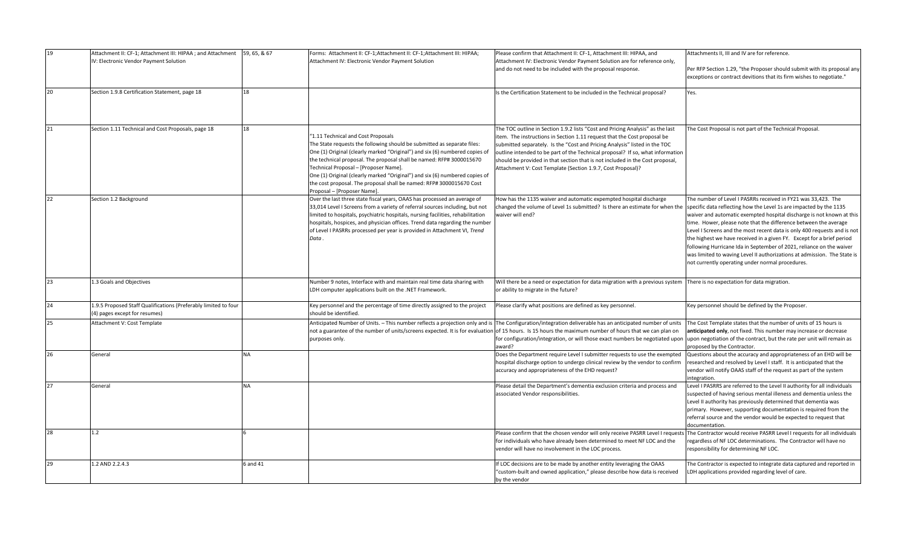| 19 | Attachment II: CF-1; Attachment III: HIPAA ; and Attachment 59, 65, & 67<br>IV: Electronic Vendor Payment Solution |           | Forms: Attachment II: CF-1;Attachment II: CF-1;Attachment III: HIPAA;<br>Attachment IV: Electronic Vendor Payment Solution                                                                                                                                                                                                                                                                                                                                                                          | Please confirm that Attachment II: CF-1, Attachment III: HIPAA, and<br>Attachment IV: Electronic Vendor Payment Solution are for reference only,<br>and do not need to be included with the proposal response.                                                                                                                                                                                                                                                             | Attachments II. III and IV are for reference.<br>Per RFP Section 1.29, "the Proposer should submit with its proposal any<br>exceptions or contract devitions that its firm wishes to negotiate."                                                                                                                                                                                                                                                                                                                                                                                                                                              |
|----|--------------------------------------------------------------------------------------------------------------------|-----------|-----------------------------------------------------------------------------------------------------------------------------------------------------------------------------------------------------------------------------------------------------------------------------------------------------------------------------------------------------------------------------------------------------------------------------------------------------------------------------------------------------|----------------------------------------------------------------------------------------------------------------------------------------------------------------------------------------------------------------------------------------------------------------------------------------------------------------------------------------------------------------------------------------------------------------------------------------------------------------------------|-----------------------------------------------------------------------------------------------------------------------------------------------------------------------------------------------------------------------------------------------------------------------------------------------------------------------------------------------------------------------------------------------------------------------------------------------------------------------------------------------------------------------------------------------------------------------------------------------------------------------------------------------|
| 20 | Section 1.9.8 Certification Statement, page 18                                                                     | 18        |                                                                                                                                                                                                                                                                                                                                                                                                                                                                                                     | Is the Certification Statement to be included in the Technical proposal?                                                                                                                                                                                                                                                                                                                                                                                                   | Yes.                                                                                                                                                                                                                                                                                                                                                                                                                                                                                                                                                                                                                                          |
| 21 | Section 1.11 Technical and Cost Proposals, page 18                                                                 | 18        | "1.11 Technical and Cost Proposals<br>The State requests the following should be submitted as separate files:<br>One (1) Original (clearly marked "Original") and six (6) numbered copies of<br>the technical proposal. The proposal shall be named: RFP# 3000015670<br>Technical Proposal - [Proposer Name].<br>One (1) Original (clearly marked "Original") and six (6) numbered copies of<br>the cost proposal. The proposal shall be named: RFP# 3000015670 Cost<br>Proposal - [Proposer Name]. | The TOC outline in Section 1.9.2 lists "Cost and Pricing Analysis" as the last<br>item. The instructions in Section 1.11 request that the Cost proposal be<br>submitted separately. Is the "Cost and Pricing Analysis" listed in the TOC<br>outline intended to be part of the Technical proposal? If so, what information<br>should be provided in that section that is not included in the Cost proposal,<br>Attachment V: Cost Template (Section 1.9.7, Cost Proposal)? | The Cost Proposal is not part of the Technical Proposal.                                                                                                                                                                                                                                                                                                                                                                                                                                                                                                                                                                                      |
| 22 | Section 1.2 Background                                                                                             |           | Over the last three state fiscal years, OAAS has processed an average of<br>33,014 Level I Screens from a variety of referral sources including, but not<br>limited to hospitals, psychiatric hospitals, nursing facilities, rehabilitation<br>hospitals, hospices, and physician offices. Trend data regarding the number<br>of Level I PASRRs processed per year is provided in Attachment VI, Trend<br>Data.                                                                                     | How has the 1135 waiver and automatic expempted hospital discharge<br>changed the volume of Level 1s submitted? Is there an estimate for when the<br>waiver will end?                                                                                                                                                                                                                                                                                                      | The number of Level I PASRRs received in FY21 was 33,423. The<br>specific data reflecting how the Level 1s are impacted by the 1135<br>waiver and automatic exempted hospital discharge is not known at this<br>time. Hower, please note that the difference between the average<br>Level I Screens and the most recent data is only 400 requests and is not<br>the highest we have received in a given FY. Except for a brief period<br>following Hurricane Ida in September of 2021, reliance on the waiver<br>was limited to waving Level II authorizations at admission. The State is<br>not currently operating under normal procedures. |
| 23 | 1.3 Goals and Objectives                                                                                           |           | Number 9 notes, Interface with and maintain real time data sharing with<br>LDH computer applications built on the .NET Framework.                                                                                                                                                                                                                                                                                                                                                                   | Will there be a need or expectation for data migration with a previous system<br>or ability to migrate in the future?                                                                                                                                                                                                                                                                                                                                                      | There is no expectation for data migration.                                                                                                                                                                                                                                                                                                                                                                                                                                                                                                                                                                                                   |
| 24 | 1.9.5 Proposed Staff Qualifications (Preferably limited to four<br>(4) pages except for resumes)                   |           | Key personnel and the percentage of time directly assigned to the project<br>should be identified.                                                                                                                                                                                                                                                                                                                                                                                                  | Please clarify what positions are defined as key personnel.                                                                                                                                                                                                                                                                                                                                                                                                                | Key personnel should be defined by the Proposer.                                                                                                                                                                                                                                                                                                                                                                                                                                                                                                                                                                                              |
| 25 | Attachment V: Cost Template                                                                                        |           | Anticipated Number of Units. - This number reflects a projection only and is<br>not a guarantee of the number of units/screens expected. It is for evaluation<br>purposes only.                                                                                                                                                                                                                                                                                                                     | The Configuration/integration deliverable has an anticipated number of units<br>of 15 hours. Is 15 hours the maximum number of hours that we can plan on<br>for configuration/integration, or will those exact numbers be negotiated upor<br>award?                                                                                                                                                                                                                        | The Cost Template states that the number of units of 15 hours is<br>anticipated only, not fixed. This number may increase or decrease<br>upon negotiation of the contract, but the rate per unit will remain as<br>proposed by the Contractor.                                                                                                                                                                                                                                                                                                                                                                                                |
| 26 | General                                                                                                            | <b>NA</b> |                                                                                                                                                                                                                                                                                                                                                                                                                                                                                                     | Does the Department require Level I submitter requests to use the exempted<br>hospital discharge option to undergo clinical review by the vendor to confirm<br>accuracy and appropriateness of the EHD request?                                                                                                                                                                                                                                                            | Questions about the accuracy and appropriateness of an EHD will be<br>researched and resolved by Level I staff. It is anticipated that the<br>vendor will notify OAAS staff of the request as part of the system<br>integration.                                                                                                                                                                                                                                                                                                                                                                                                              |
| 27 | General                                                                                                            | <b>NA</b> |                                                                                                                                                                                                                                                                                                                                                                                                                                                                                                     | Please detail the Department's dementia exclusion criteria and process and<br>associated Vendor responsibilities.                                                                                                                                                                                                                                                                                                                                                          | Level I PASRRS are referred to the Level II authority for all individuals<br>suspected of having serious mental illeness and dementia unless the<br>Level II authority has previously determined that dementia was<br>primary. However, supporting documentation is required from the<br>referral source and the vendor would be expected to request that<br>documentation.                                                                                                                                                                                                                                                                   |
| 28 | 1.2                                                                                                                |           |                                                                                                                                                                                                                                                                                                                                                                                                                                                                                                     | Please confirm that the chosen vendor will only receive PASRR Level I request<br>for individuals who have already been determined to meet NF LOC and the<br>vendor will have no involvement in the LOC process.                                                                                                                                                                                                                                                            | The Contractor would receive PASRR Level I requests for all individuals<br>regardless of NF LOC determinations. The Contractor will have no<br>responsibility for determining NF LOC.                                                                                                                                                                                                                                                                                                                                                                                                                                                         |
| 29 | 1.2 AND 2.2.4.3                                                                                                    | 6 and 41  |                                                                                                                                                                                                                                                                                                                                                                                                                                                                                                     | If LOC decisions are to be made by another entity leveraging the OAAS<br>'custom-built and owned application," please describe how data is received<br>by the vendor                                                                                                                                                                                                                                                                                                       | The Contractor is expected to integrate data captured and reported in<br>LDH applications provided regarding level of care.                                                                                                                                                                                                                                                                                                                                                                                                                                                                                                                   |